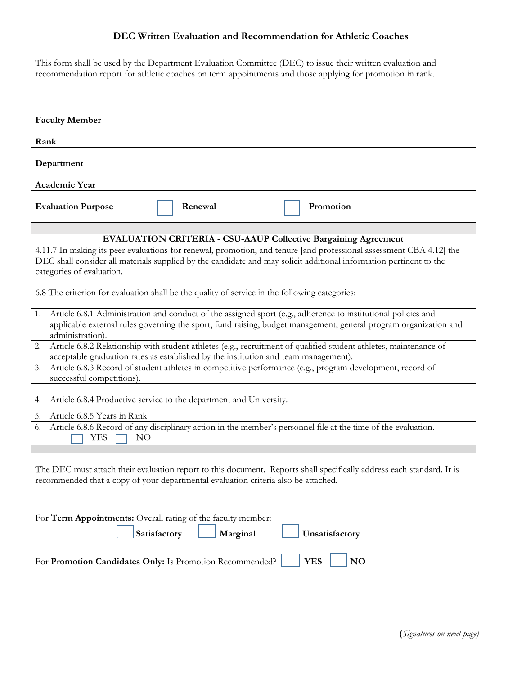## **DEC Written Evaluation and Recommendation for Athletic Coaches**

| This form shall be used by the Department Evaluation Committee (DEC) to issue their written evaluation and<br>recommendation report for athletic coaches on term appointments and those applying for promotion in rank.                                                                                                                                                                                                                          |         |           |  |  |
|--------------------------------------------------------------------------------------------------------------------------------------------------------------------------------------------------------------------------------------------------------------------------------------------------------------------------------------------------------------------------------------------------------------------------------------------------|---------|-----------|--|--|
| <b>Faculty Member</b>                                                                                                                                                                                                                                                                                                                                                                                                                            |         |           |  |  |
| Rank                                                                                                                                                                                                                                                                                                                                                                                                                                             |         |           |  |  |
|                                                                                                                                                                                                                                                                                                                                                                                                                                                  |         |           |  |  |
| Department                                                                                                                                                                                                                                                                                                                                                                                                                                       |         |           |  |  |
| <b>Academic Year</b>                                                                                                                                                                                                                                                                                                                                                                                                                             |         |           |  |  |
| <b>Evaluation Purpose</b>                                                                                                                                                                                                                                                                                                                                                                                                                        | Renewal | Promotion |  |  |
|                                                                                                                                                                                                                                                                                                                                                                                                                                                  |         |           |  |  |
| <b>EVALUATION CRITERIA - CSU-AAUP Collective Bargaining Agreement</b><br>4.11.7 In making its peer evaluations for renewal, promotion, and tenure [and professional assessment CBA 4.12] the<br>DEC shall consider all materials supplied by the candidate and may solicit additional information pertinent to the<br>categories of evaluation.<br>6.8 The criterion for evaluation shall be the quality of service in the following categories: |         |           |  |  |
| Article 6.8.1 Administration and conduct of the assigned sport (e.g., adherence to institutional policies and<br>1.<br>applicable external rules governing the sport, fund raising, budget management, general program organization and<br>administration).                                                                                                                                                                                      |         |           |  |  |
| Article 6.8.2 Relationship with student athletes (e.g., recruitment of qualified student athletes, maintenance of<br>2.                                                                                                                                                                                                                                                                                                                          |         |           |  |  |
| acceptable graduation rates as established by the institution and team management).<br>Article 6.8.3 Record of student athletes in competitive performance (e.g., program development, record of<br>3.<br>successful competitions).                                                                                                                                                                                                              |         |           |  |  |
| Article 6.8.4 Productive service to the department and University.<br>4.                                                                                                                                                                                                                                                                                                                                                                         |         |           |  |  |
| Article 6.8.5 Years in Rank<br>5.                                                                                                                                                                                                                                                                                                                                                                                                                |         |           |  |  |
| Article 6.8.6 Record of any disciplinary action in the member's personnel file at the time of the evaluation.<br>6.<br>YES<br>NO                                                                                                                                                                                                                                                                                                                 |         |           |  |  |
| The DEC must attach their evaluation report to this document. Reports shall specifically address each standard. It is<br>recommended that a copy of your departmental evaluation criteria also be attached.                                                                                                                                                                                                                                      |         |           |  |  |
| For Term Appointments: Overall rating of the faculty member:<br>Satisfactory<br>Marginal<br>Unsatisfactory                                                                                                                                                                                                                                                                                                                                       |         |           |  |  |
| <b>YES</b><br>N <sub>O</sub><br>For Promotion Candidates Only: Is Promotion Recommended?                                                                                                                                                                                                                                                                                                                                                         |         |           |  |  |